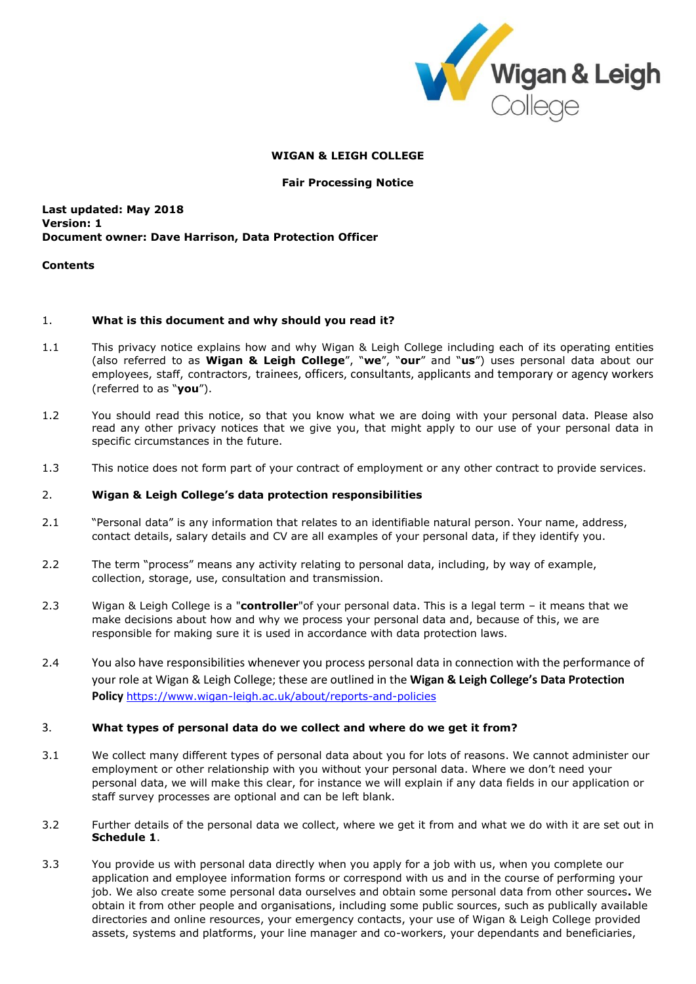

### **WIGAN & LEIGH COLLEGE**

#### **Fair Processing Notice**

### **Last updated: May 2018 Version: 1 Document owner: Dave Harrison, Data Protection Officer**

#### **Contents**

### 1. **What is this document and why should you read it?**

- 1.1 This privacy notice explains how and why Wigan & Leigh College including each of its operating entities (also referred to as **Wigan & Leigh College**", "**we**", "**our**" and "**us**") uses personal data about our employees, staff, contractors, trainees, officers, consultants, applicants and temporary or agency workers (referred to as "**you**").
- 1.2 You should read this notice, so that you know what we are doing with your personal data. Please also read any other privacy notices that we give you, that might apply to our use of your personal data in specific circumstances in the future.
- 1.3 This notice does not form part of your contract of employment or any other contract to provide services.

#### 2. **Wigan & Leigh College's data protection responsibilities**

- 2.1 "Personal data" is any information that relates to an identifiable natural person. Your name, address, contact details, salary details and CV are all examples of your personal data, if they identify you.
- 2.2 The term "process" means any activity relating to personal data, including, by way of example, collection, storage, use, consultation and transmission.
- 2.3 Wigan & Leigh College is a "**controller**"of your personal data. This is a legal term it means that we make decisions about how and why we process your personal data and, because of this, we are responsible for making sure it is used in accordance with data protection laws.
- 2.4 You also have responsibilities whenever you process personal data in connection with the performance of your role at Wigan & Leigh College; these are outlined in the **Wigan & Leigh College's Data Protection Policy** <https://www.wigan-leigh.ac.uk/about/reports-and-policies>

### 3. **What types of personal data do we collect and where do we get it from?**

- 3.1 We collect many different types of personal data about you for lots of reasons. We cannot administer our employment or other relationship with you without your personal data. Where we don't need your personal data, we will make this clear, for instance we will explain if any data fields in our application or staff survey processes are optional and can be left blank.
- 3.2 Further details of the personal data we collect, where we get it from and what we do with it are set out in **Schedule 1**.
- 3.3 You provide us with personal data directly when you apply for a job with us, when you complete our application and employee information forms or correspond with us and in the course of performing your job. We also create some personal data ourselves and obtain some personal data from other sources**.** We obtain it from other people and organisations, including some public sources, such as publically available directories and online resources, your emergency contacts, your use of Wigan & Leigh College provided assets, systems and platforms, your line manager and co-workers, your dependants and beneficiaries,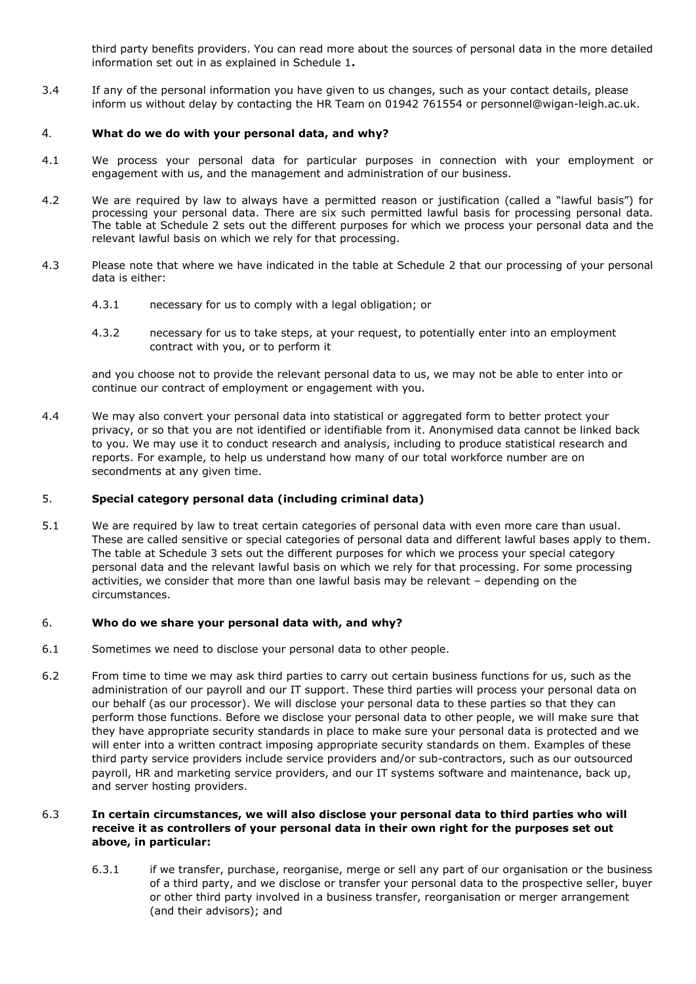third party benefits providers. You can read more about the sources of personal data in the more detailed information set out in as explained in Schedule 1**.**

3.4 If any of the personal information you have given to us changes, such as your contact details, please inform us without delay by contacting the HR Team on 01942 761554 or personnel@wigan-leigh.ac.uk.

### 4. **What do we do with your personal data, and why?**

- 4.1 We process your personal data for particular purposes in connection with your employment or engagement with us, and the management and administration of our business.
- <span id="page-1-0"></span>4.2 We are required by law to always have a permitted reason or justification (called a "lawful basis") for processing your personal data. There are six such permitted lawful basis for processing personal data. The table at Schedule 2 sets out the different purposes for which we process your personal data and the relevant lawful basis on which we rely for that processing.
- 4.3 Please note that where we have indicated in the table at Schedule 2 that our processing of your personal data is either:
	- 4.3.1 necessary for us to comply with a legal obligation; or
	- 4.3.2 necessary for us to take steps, at your request, to potentially enter into an employment contract with you, or to perform it

and you choose not to provide the relevant personal data to us, we may not be able to enter into or continue our contract of employment or engagement with you.

4.4 We may also convert your personal data into statistical or aggregated form to better protect your privacy, or so that you are not identified or identifiable from it. Anonymised data cannot be linked back to you. We may use it to conduct research and analysis, including to produce statistical research and reports. For example, to help us understand how many of our total workforce number are on secondments at any given time.

### 5. **Special category personal data (including criminal data)**

5.1 We are required by law to treat certain categories of personal data with even more care than usual. These are called sensitive or special categories of personal data and different lawful bases apply to them. The table at Schedule 3 sets out the different purposes for which we process your special category personal data and the relevant lawful basis on which we rely for that processing. For some processing activities, we consider that more than one lawful basis may be relevant – depending on the circumstances.

### 6. **Who do we share your personal data with, and why?**

- 6.1 Sometimes we need to disclose your personal data to other people.
- 6.2 From time to time we may ask third parties to carry out certain business functions for us, such as the administration of our payroll and our IT support. These third parties will process your personal data on our behalf (as our processor). We will disclose your personal data to these parties so that they can perform those functions. Before we disclose your personal data to other people, we will make sure that they have appropriate security standards in place to make sure your personal data is protected and we will enter into a written contract imposing appropriate security standards on them. Examples of these third party service providers include service providers and/or sub-contractors, such as our outsourced payroll, HR and marketing service providers, and our IT systems software and maintenance, back up, and server hosting providers.

### 6.3 **In certain circumstances, we will also disclose your personal data to third parties who will receive it as controllers of your personal data in their own right for the purposes set out above, in particular:**

6.3.1 if we transfer, purchase, reorganise, merge or sell any part of our organisation or the business of a third party, and we disclose or transfer your personal data to the prospective seller, buyer or other third party involved in a business transfer, reorganisation or merger arrangement (and their advisors); and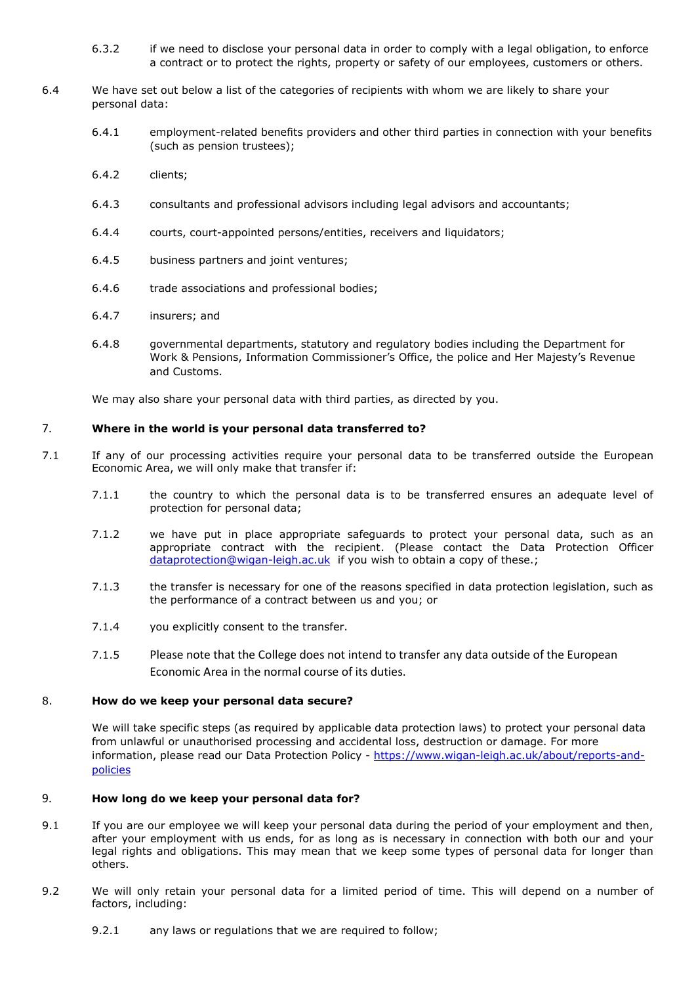- 6.3.2 if we need to disclose your personal data in order to comply with a legal obligation, to enforce a contract or to protect the rights, property or safety of our employees, customers or others.
- 6.4 We have set out below a list of the categories of recipients with whom we are likely to share your personal data:
	- 6.4.1 employment-related benefits providers and other third parties in connection with your benefits (such as pension trustees);
	- 6.4.2 clients;
	- 6.4.3 consultants and professional advisors including legal advisors and accountants;
	- 6.4.4 courts, court-appointed persons/entities, receivers and liquidators;
	- 6.4.5 business partners and joint ventures;
	- 6.4.6 trade associations and professional bodies;
	- 6.4.7 insurers; and
	- 6.4.8 governmental departments, statutory and regulatory bodies including the Department for Work & Pensions, Information Commissioner's Office, the police and Her Majesty's Revenue and Customs.

We may also share your personal data with third parties, as directed by you.

# 7. **Where in the world is your personal data transferred to?**

- 7.1 If any of our processing activities require your personal data to be transferred outside the European Economic Area, we will only make that transfer if:
	- 7.1.1 the country to which the personal data is to be transferred ensures an adequate level of protection for personal data;
	- 7.1.2 we have put in place appropriate safeguards to protect your personal data, such as an appropriate contract with the recipient. (Please contact the Data Protection Officer [dataprotection@wigan-leigh.ac.uk](mailto:dataprotection@wigan-leigh.ac.uk) if you wish to obtain a copy of these.;
	- 7.1.3 the transfer is necessary for one of the reasons specified in data protection legislation, such as the performance of a contract between us and you; or
	- 7.1.4 you explicitly consent to the transfer.
	- 7.1.5 Please note that the College does not intend to transfer any data outside of the European Economic Area in the normal course of its duties.

### 8. **How do we keep your personal data secure?**

We will take specific steps (as required by applicable data protection laws) to protect your personal data from unlawful or unauthorised processing and accidental loss, destruction or damage. For more information, please read our Data Protection Policy - [https://www.wigan-leigh.ac.uk/about/reports-and](https://www.wigan-leigh.ac.uk/about/reports-and-policies)[policies](https://www.wigan-leigh.ac.uk/about/reports-and-policies)

# 9. **How long do we keep your personal data for?**

- 9.1 If you are our employee we will keep your personal data during the period of your employment and then, after your employment with us ends, for as long as is necessary in connection with both our and your legal rights and obligations. This may mean that we keep some types of personal data for longer than others.
- 9.2 We will only retain your personal data for a limited period of time. This will depend on a number of factors, including:
	- 9.2.1 any laws or regulations that we are required to follow;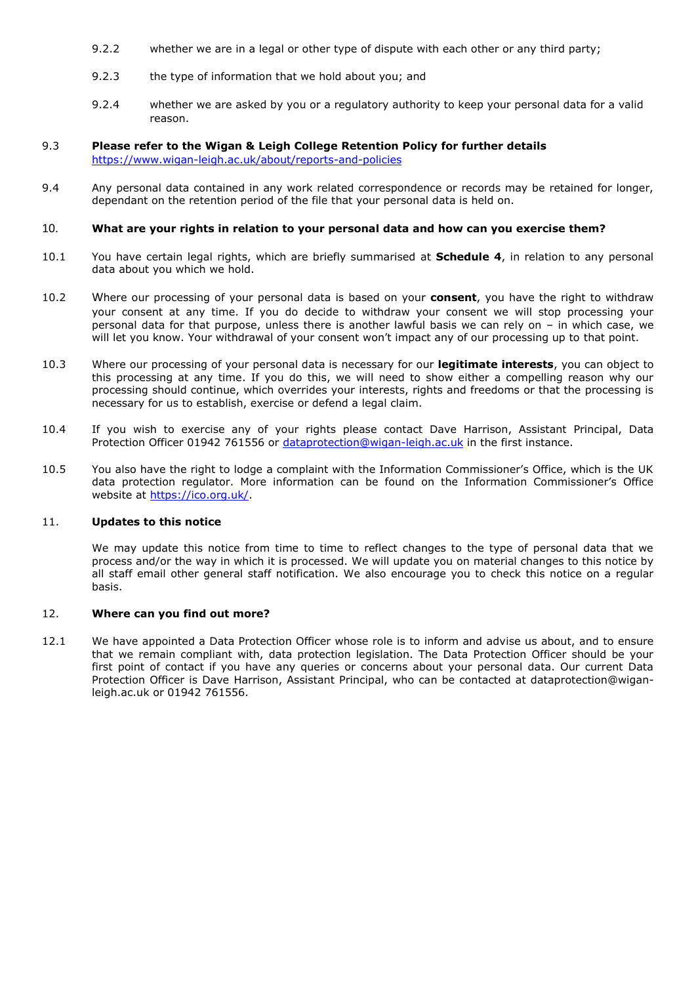- <span id="page-3-0"></span>9.2.2 whether we are in a legal or other type of dispute with each other or any third party;
- 9.2.3 the type of information that we hold about you; and
- 9.2.4 whether we are asked by you or a regulatory authority to keep your personal data for a valid reason.

### 9.3 **Please refer to the Wigan & Leigh College Retention Policy for further details** <https://www.wigan-leigh.ac.uk/about/reports-and-policies>

9.4 Any personal data contained in any work related correspondence or records may be retained for longer, dependant on the retention period of the file that your personal data is held on.

#### 10. **What are your rights in relation to your personal data and how can you exercise them?**

- 10.1 You have certain legal rights, which are briefly summarised at **Schedule 4**, in relation to any personal data about you which we hold.
- 10.2 Where our processing of your personal data is based on your **consent**, you have the right to withdraw your consent at any time. If you do decide to withdraw your consent we will stop processing your personal data for that purpose, unless there is another lawful basis we can rely on – in which case, we will let you know. Your withdrawal of your consent won't impact any of our processing up to that point.
- 10.3 Where our processing of your personal data is necessary for our **legitimate interests**, you can object to this processing at any time. If you do this, we will need to show either a compelling reason why our processing should continue, which overrides your interests, rights and freedoms or that the processing is necessary for us to establish, exercise or defend a legal claim.
- 10.4 If you wish to exercise any of your rights please contact Dave Harrison, Assistant Principal, Data Protection Officer 01942 761556 or [dataprotection@wigan-leigh.ac.uk](mailto:dataprotection@wigan-leigh.ac.uk) in the first instance.
- 10.5 You also have the right to lodge a complaint with the Information Commissioner's Office, which is the UK data protection regulator. More information can be found on the Information Commissioner's Office website at [https://ico.org.uk/.](https://ico.org.uk/)

#### 11. **Updates to this notice**

We may update this notice from time to time to reflect changes to the type of personal data that we process and/or the way in which it is processed. We will update you on material changes to this notice by all staff email other general staff notification. We also encourage you to check this notice on a regular basis.

#### 12. **Where can you find out more?**

12.1 We have appointed a Data Protection Officer whose role is to inform and advise us about, and to ensure that we remain compliant with, data protection legislation. The Data Protection Officer should be your first point of contact if you have any queries or concerns about your personal data. Our current Data Protection Officer is Dave Harrison, Assistant Principal, who can be contacted at dataprotection@wiganleigh.ac.uk or 01942 761556.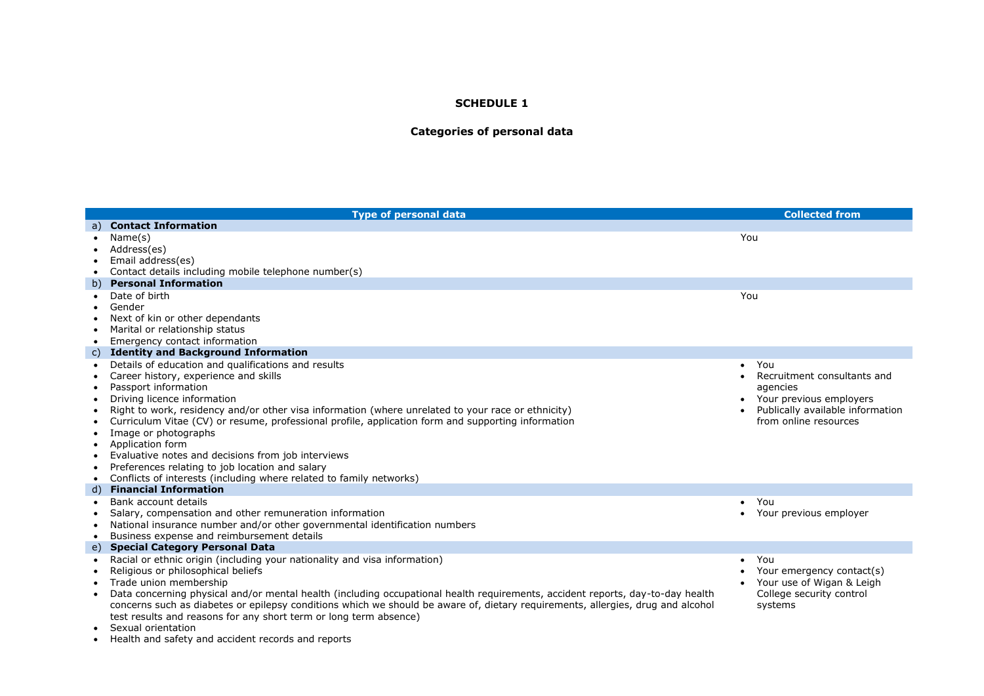## **Categories of personal data**

|           | <b>Type of personal data</b>                                                                                                    | <b>Collected from</b>            |
|-----------|---------------------------------------------------------------------------------------------------------------------------------|----------------------------------|
|           | a) Contact Information                                                                                                          |                                  |
|           | Name(s)                                                                                                                         | You                              |
|           | Address(es)                                                                                                                     |                                  |
|           | Email address(es)                                                                                                               |                                  |
|           | Contact details including mobile telephone number(s)                                                                            |                                  |
|           | b) Personal Information                                                                                                         |                                  |
|           | Date of birth                                                                                                                   | You                              |
|           | Gender                                                                                                                          |                                  |
|           | Next of kin or other dependants                                                                                                 |                                  |
| $\bullet$ | Marital or relationship status                                                                                                  |                                  |
| $\bullet$ | Emergency contact information                                                                                                   |                                  |
| C)        | <b>Identity and Background Information</b>                                                                                      |                                  |
|           | Details of education and qualifications and results                                                                             | You<br>$\bullet$                 |
| $\bullet$ | Career history, experience and skills                                                                                           | Recruitment consultants and      |
| $\bullet$ | Passport information                                                                                                            | agencies                         |
|           | Driving licence information                                                                                                     | Your previous employers          |
|           | Right to work, residency and/or other visa information (where unrelated to your race or ethnicity)                              | Publically available information |
|           | Curriculum Vitae (CV) or resume, professional profile, application form and supporting information                              | from online resources            |
|           | Image or photographs<br>Application form                                                                                        |                                  |
|           | Evaluative notes and decisions from job interviews                                                                              |                                  |
|           | Preferences relating to job location and salary                                                                                 |                                  |
| ٠<br>٠    | Conflicts of interests (including where related to family networks)                                                             |                                  |
| d)        | <b>Financial Information</b>                                                                                                    |                                  |
|           | Bank account details                                                                                                            | You                              |
|           | Salary, compensation and other remuneration information                                                                         | Your previous employer           |
|           | National insurance number and/or other governmental identification numbers                                                      |                                  |
|           | Business expense and reimbursement details                                                                                      |                                  |
| e)        | <b>Special Category Personal Data</b>                                                                                           |                                  |
|           | Racial or ethnic origin (including your nationality and visa information)                                                       | You                              |
|           | Religious or philosophical beliefs                                                                                              | Your emergency contact(s)        |
|           | Trade union membership                                                                                                          | Your use of Wigan & Leigh        |
|           | Data concerning physical and/or mental health (including occupational health requirements, accident reports, day-to-day health  | College security control         |
|           | concerns such as diabetes or epilepsy conditions which we should be aware of, dietary requirements, allergies, drug and alcohol | systems                          |
|           | test results and reasons for any short term or long term absence)                                                               |                                  |
|           | Sexual orientation                                                                                                              |                                  |
|           |                                                                                                                                 |                                  |

Health and safety and accident records and reports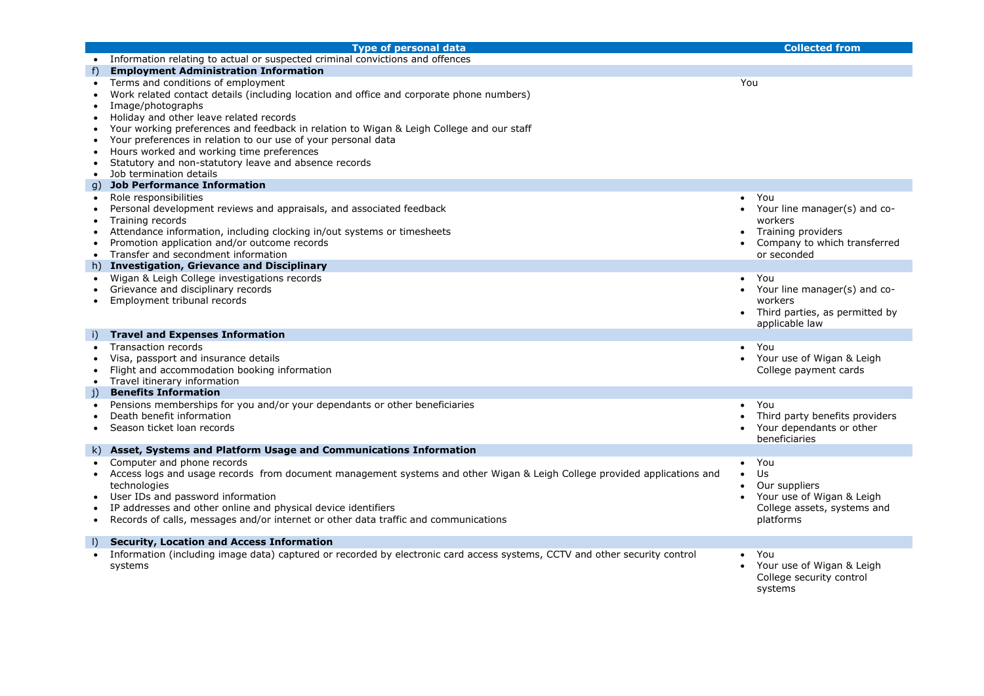|           | <b>Type of personal data</b>                                                                                                                           | <b>Collected from</b>          |
|-----------|--------------------------------------------------------------------------------------------------------------------------------------------------------|--------------------------------|
|           | Information relating to actual or suspected criminal convictions and offences                                                                          |                                |
| f)        | <b>Employment Administration Information</b>                                                                                                           |                                |
| $\bullet$ | Terms and conditions of employment                                                                                                                     | You                            |
|           | Work related contact details (including location and office and corporate phone numbers)                                                               |                                |
|           | Image/photographs                                                                                                                                      |                                |
|           | Holiday and other leave related records                                                                                                                |                                |
|           | Your working preferences and feedback in relation to Wigan & Leigh College and our staff                                                               |                                |
|           | Your preferences in relation to our use of your personal data                                                                                          |                                |
|           | Hours worked and working time preferences                                                                                                              |                                |
| $\bullet$ | Statutory and non-statutory leave and absence records                                                                                                  |                                |
| $\bullet$ | Job termination details                                                                                                                                |                                |
| g)        | <b>Job Performance Information</b>                                                                                                                     |                                |
| $\bullet$ | Role responsibilities                                                                                                                                  | You<br>$\bullet$               |
|           | Personal development reviews and appraisals, and associated feedback                                                                                   | Your line manager(s) and co-   |
| $\bullet$ | Training records                                                                                                                                       | workers                        |
| $\bullet$ | Attendance information, including clocking in/out systems or timesheets                                                                                | Training providers             |
| $\bullet$ | Promotion application and/or outcome records                                                                                                           | Company to which transferred   |
| $\bullet$ | Transfer and secondment information                                                                                                                    | or seconded                    |
|           | h) Investigation, Grievance and Disciplinary                                                                                                           |                                |
|           | Wigan & Leigh College investigations records                                                                                                           | You<br>$\bullet$               |
|           | Grievance and disciplinary records                                                                                                                     | Your line manager(s) and co-   |
|           | Employment tribunal records                                                                                                                            | workers                        |
|           |                                                                                                                                                        | Third parties, as permitted by |
|           |                                                                                                                                                        | applicable law                 |
| i)        | <b>Travel and Expenses Information</b>                                                                                                                 |                                |
|           | <b>Transaction records</b>                                                                                                                             | You<br>$\bullet$               |
|           | Visa, passport and insurance details                                                                                                                   | Your use of Wigan & Leigh      |
|           | Flight and accommodation booking information                                                                                                           | College payment cards          |
| $\bullet$ | Travel itinerary information                                                                                                                           |                                |
| j)        | <b>Benefits Information</b>                                                                                                                            |                                |
|           | Pensions memberships for you and/or your dependants or other beneficiaries                                                                             | You                            |
|           | Death benefit information                                                                                                                              | Third party benefits providers |
|           | Season ticket loan records                                                                                                                             | Your dependants or other       |
|           | k) Asset, Systems and Platform Usage and Communications Information                                                                                    | beneficiaries                  |
|           |                                                                                                                                                        |                                |
|           | Computer and phone records<br>Access logs and usage records from document management systems and other Wigan & Leigh College provided applications and | You<br>$\bullet$<br><b>Us</b>  |
|           |                                                                                                                                                        | Our suppliers                  |
|           | technologies<br>User IDs and password information                                                                                                      | Your use of Wigan & Leigh      |
|           | IP addresses and other online and physical device identifiers                                                                                          | College assets, systems and    |
| $\bullet$ | Records of calls, messages and/or internet or other data traffic and communications                                                                    | platforms                      |
|           |                                                                                                                                                        |                                |
| $\vert$   | <b>Security, Location and Access Information</b>                                                                                                       |                                |
|           | Information (including image data) captured or recorded by electronic card access systems, CCTV and other security control                             | You                            |
|           | systems                                                                                                                                                | Your use of Wigan & Leigh      |
|           |                                                                                                                                                        | College security control       |
|           |                                                                                                                                                        | systems                        |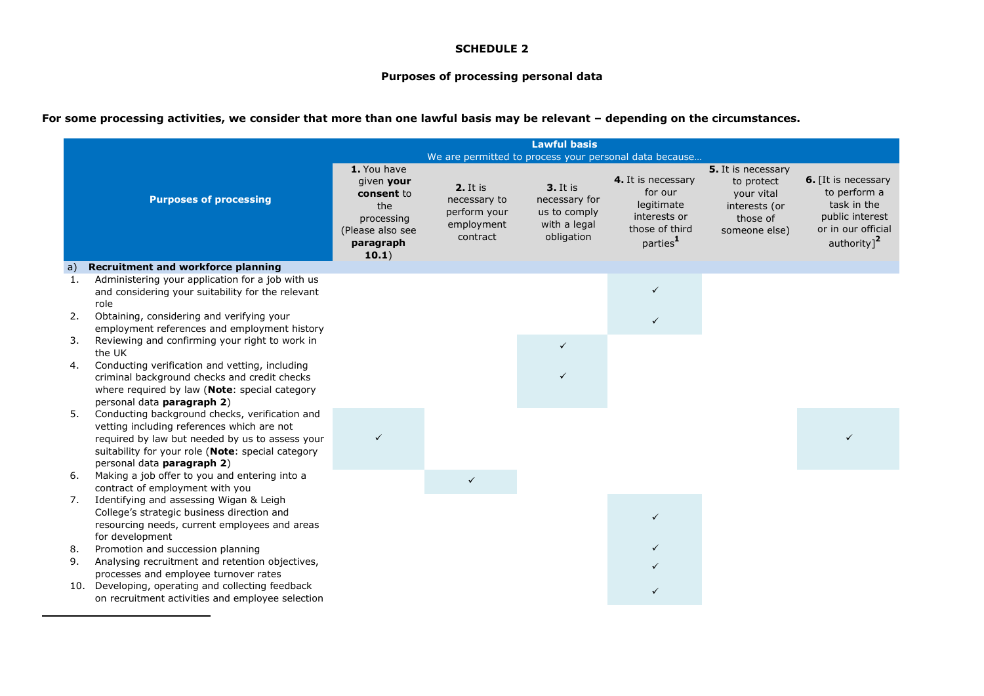#### **Purposes of processing personal data**

# **For some processing activities, we consider that more than one lawful basis may be relevant – depending on the circumstances.**

1

|    | <b>Lawful basis</b><br>We are permitted to process your personal data because                                                                                                                                                      |                                                                                                        |                                                                    |                                                                                |                                                                                                       |                                                                                              |                                                                                                                        |
|----|------------------------------------------------------------------------------------------------------------------------------------------------------------------------------------------------------------------------------------|--------------------------------------------------------------------------------------------------------|--------------------------------------------------------------------|--------------------------------------------------------------------------------|-------------------------------------------------------------------------------------------------------|----------------------------------------------------------------------------------------------|------------------------------------------------------------------------------------------------------------------------|
|    | <b>Purposes of processing</b>                                                                                                                                                                                                      | 1. You have<br>given your<br>consent to<br>the<br>processing<br>(Please also see<br>paragraph<br>10.1) | 2. It is<br>necessary to<br>perform your<br>employment<br>contract | <b>3.</b> It is<br>necessary for<br>us to comply<br>with a legal<br>obligation | 4. It is necessary<br>for our<br>legitimate<br>interests or<br>those of third<br>parties <sup>1</sup> | 5. It is necessary<br>to protect<br>your vital<br>interests (or<br>those of<br>someone else) | 6. [It is necessary<br>to perform a<br>task in the<br>public interest<br>or in our official<br>authority] <sup>2</sup> |
| a) | <b>Recruitment and workforce planning</b>                                                                                                                                                                                          |                                                                                                        |                                                                    |                                                                                |                                                                                                       |                                                                                              |                                                                                                                        |
| 1. | Administering your application for a job with us<br>and considering your suitability for the relevant<br>role                                                                                                                      |                                                                                                        |                                                                    |                                                                                | $\checkmark$                                                                                          |                                                                                              |                                                                                                                        |
| 2. | Obtaining, considering and verifying your<br>employment references and employment history                                                                                                                                          |                                                                                                        |                                                                    |                                                                                |                                                                                                       |                                                                                              |                                                                                                                        |
| 3. | Reviewing and confirming your right to work in<br>the UK                                                                                                                                                                           |                                                                                                        |                                                                    | $\checkmark$                                                                   |                                                                                                       |                                                                                              |                                                                                                                        |
| 4. | Conducting verification and vetting, including<br>criminal background checks and credit checks<br>where required by law (Note: special category<br>personal data paragraph 2)                                                      |                                                                                                        |                                                                    |                                                                                |                                                                                                       |                                                                                              |                                                                                                                        |
| 5. | Conducting background checks, verification and<br>vetting including references which are not<br>required by law but needed by us to assess your<br>suitability for your role (Note: special category<br>personal data paragraph 2) | $\checkmark$                                                                                           |                                                                    |                                                                                |                                                                                                       |                                                                                              |                                                                                                                        |
| 6. | Making a job offer to you and entering into a<br>contract of employment with you                                                                                                                                                   |                                                                                                        | $\checkmark$                                                       |                                                                                |                                                                                                       |                                                                                              |                                                                                                                        |
| 7. | Identifying and assessing Wigan & Leigh<br>College's strategic business direction and<br>resourcing needs, current employees and areas<br>for development                                                                          |                                                                                                        |                                                                    |                                                                                | $\checkmark$                                                                                          |                                                                                              |                                                                                                                        |
| 8. | Promotion and succession planning                                                                                                                                                                                                  |                                                                                                        |                                                                    |                                                                                | $\checkmark$                                                                                          |                                                                                              |                                                                                                                        |
| 9. | Analysing recruitment and retention objectives,<br>processes and employee turnover rates                                                                                                                                           |                                                                                                        |                                                                    |                                                                                |                                                                                                       |                                                                                              |                                                                                                                        |
|    | 10. Developing, operating and collecting feedback<br>on recruitment activities and employee selection                                                                                                                              |                                                                                                        |                                                                    |                                                                                | $\checkmark$                                                                                          |                                                                                              |                                                                                                                        |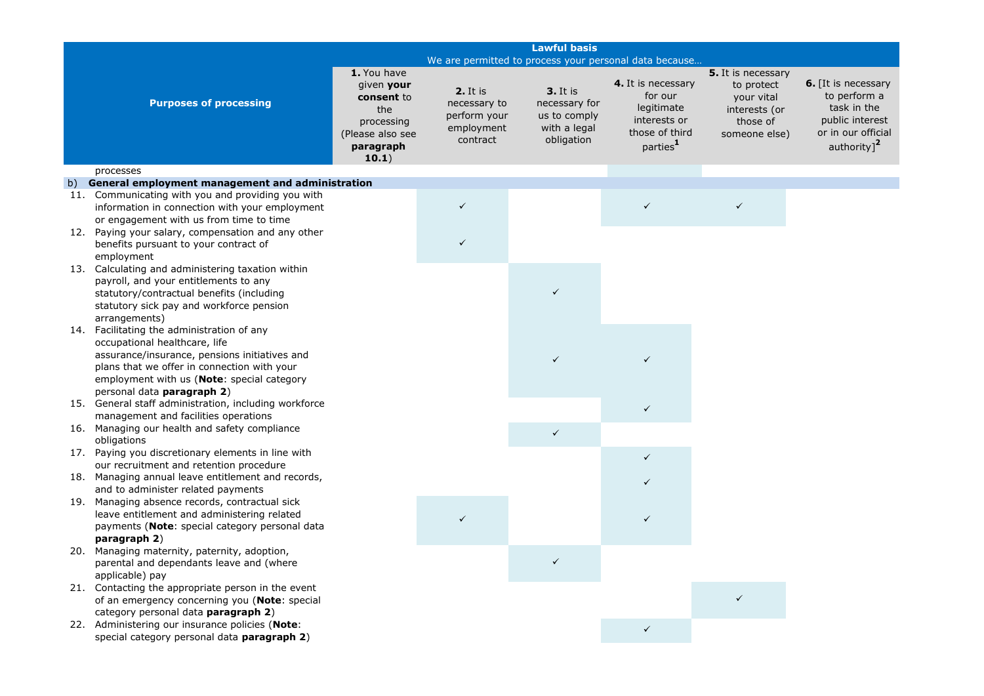|    | <b>Lawful basis</b>                                                                                                                                                                                                       |                                                                                                        |                                                                    |                                                                                |                                                                                                       |                                                                                              |                                                                                                                      |
|----|---------------------------------------------------------------------------------------------------------------------------------------------------------------------------------------------------------------------------|--------------------------------------------------------------------------------------------------------|--------------------------------------------------------------------|--------------------------------------------------------------------------------|-------------------------------------------------------------------------------------------------------|----------------------------------------------------------------------------------------------|----------------------------------------------------------------------------------------------------------------------|
|    |                                                                                                                                                                                                                           |                                                                                                        |                                                                    | We are permitted to process your personal data because                         |                                                                                                       |                                                                                              |                                                                                                                      |
|    | <b>Purposes of processing</b>                                                                                                                                                                                             | 1. You have<br>given your<br>consent to<br>the<br>processing<br>(Please also see<br>paragraph<br>10.1) | 2. It is<br>necessary to<br>perform your<br>employment<br>contract | <b>3.</b> It is<br>necessary for<br>us to comply<br>with a legal<br>obligation | 4. It is necessary<br>for our<br>legitimate<br>interests or<br>those of third<br>parties <sup>1</sup> | 5. It is necessary<br>to protect<br>your vital<br>interests (or<br>those of<br>someone else) | <b>6.</b> [It is necessary<br>to perform a<br>task in the<br>public interest<br>or in our official<br>authority] $2$ |
|    | processes                                                                                                                                                                                                                 |                                                                                                        |                                                                    |                                                                                |                                                                                                       |                                                                                              |                                                                                                                      |
| b) | General employment management and administration                                                                                                                                                                          |                                                                                                        |                                                                    |                                                                                |                                                                                                       |                                                                                              |                                                                                                                      |
|    | 11. Communicating with you and providing you with<br>information in connection with your employment<br>or engagement with us from time to time<br>12. Paying your salary, compensation and any other                      |                                                                                                        | ✓                                                                  |                                                                                | $\checkmark$                                                                                          | $\checkmark$                                                                                 |                                                                                                                      |
|    | benefits pursuant to your contract of<br>employment                                                                                                                                                                       |                                                                                                        |                                                                    |                                                                                |                                                                                                       |                                                                                              |                                                                                                                      |
|    | 13. Calculating and administering taxation within<br>payroll, and your entitlements to any<br>statutory/contractual benefits (including<br>statutory sick pay and workforce pension<br>arrangements)                      |                                                                                                        |                                                                    | $\checkmark$                                                                   |                                                                                                       |                                                                                              |                                                                                                                      |
|    | 14. Facilitating the administration of any<br>occupational healthcare, life<br>assurance/insurance, pensions initiatives and<br>plans that we offer in connection with your<br>employment with us (Note: special category |                                                                                                        |                                                                    | ✓                                                                              | ✓                                                                                                     |                                                                                              |                                                                                                                      |
|    | personal data paragraph 2)<br>15. General staff administration, including workforce<br>management and facilities operations                                                                                               |                                                                                                        |                                                                    |                                                                                | $\checkmark$                                                                                          |                                                                                              |                                                                                                                      |
|    | 16. Managing our health and safety compliance<br>obligations                                                                                                                                                              |                                                                                                        |                                                                    | ✓                                                                              |                                                                                                       |                                                                                              |                                                                                                                      |
|    | 17. Paying you discretionary elements in line with<br>our recruitment and retention procedure                                                                                                                             |                                                                                                        |                                                                    |                                                                                | $\checkmark$                                                                                          |                                                                                              |                                                                                                                      |
|    | 18. Managing annual leave entitlement and records,<br>and to administer related payments                                                                                                                                  |                                                                                                        |                                                                    |                                                                                | $\checkmark$                                                                                          |                                                                                              |                                                                                                                      |
|    | 19. Managing absence records, contractual sick<br>leave entitlement and administering related<br>payments (Note: special category personal data<br>paragraph 2)                                                           |                                                                                                        |                                                                    |                                                                                | ✓                                                                                                     |                                                                                              |                                                                                                                      |
|    | 20. Managing maternity, paternity, adoption,<br>parental and dependants leave and (where<br>applicable) pay                                                                                                               |                                                                                                        |                                                                    |                                                                                |                                                                                                       |                                                                                              |                                                                                                                      |
|    | 21. Contacting the appropriate person in the event<br>of an emergency concerning you (Note: special<br>category personal data paragraph 2)                                                                                |                                                                                                        |                                                                    |                                                                                |                                                                                                       | ✓                                                                                            |                                                                                                                      |
|    | 22. Administering our insurance policies (Note:<br>special category personal data paragraph 2)                                                                                                                            |                                                                                                        |                                                                    |                                                                                | $\checkmark$                                                                                          |                                                                                              |                                                                                                                      |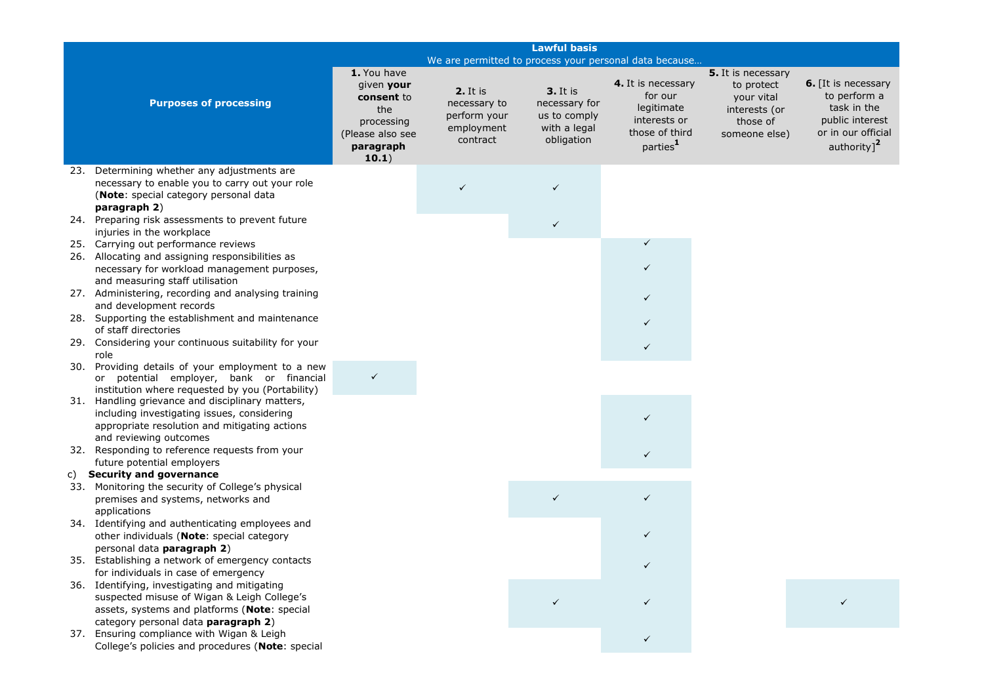| <b>Lawful basis</b>                                                                                                                                                                 |                                                                                                        |                                                                    |                                                                                |                                                                                                       |                                                                                              |                                                                                                                        |
|-------------------------------------------------------------------------------------------------------------------------------------------------------------------------------------|--------------------------------------------------------------------------------------------------------|--------------------------------------------------------------------|--------------------------------------------------------------------------------|-------------------------------------------------------------------------------------------------------|----------------------------------------------------------------------------------------------|------------------------------------------------------------------------------------------------------------------------|
|                                                                                                                                                                                     |                                                                                                        |                                                                    |                                                                                | We are permitted to process your personal data because                                                |                                                                                              |                                                                                                                        |
| <b>Purposes of processing</b>                                                                                                                                                       | 1. You have<br>given your<br>consent to<br>the<br>processing<br>(Please also see<br>paragraph<br>10.1) | 2. It is<br>necessary to<br>perform your<br>employment<br>contract | <b>3.</b> It is<br>necessary for<br>us to comply<br>with a legal<br>obligation | 4. It is necessary<br>for our<br>legitimate<br>interests or<br>those of third<br>parties <sup>1</sup> | 5. It is necessary<br>to protect<br>your vital<br>interests (or<br>those of<br>someone else) | 6. [It is necessary<br>to perform a<br>task in the<br>public interest<br>or in our official<br>authority] <sup>2</sup> |
| 23. Determining whether any adjustments are                                                                                                                                         |                                                                                                        |                                                                    |                                                                                |                                                                                                       |                                                                                              |                                                                                                                        |
| necessary to enable you to carry out your role<br>(Note: special category personal data<br>paragraph 2)<br>24. Preparing risk assessments to prevent future                         |                                                                                                        | ✓                                                                  | $\checkmark$                                                                   |                                                                                                       |                                                                                              |                                                                                                                        |
| injuries in the workplace                                                                                                                                                           |                                                                                                        |                                                                    | ✓                                                                              |                                                                                                       |                                                                                              |                                                                                                                        |
| 25. Carrying out performance reviews                                                                                                                                                |                                                                                                        |                                                                    |                                                                                | ✓                                                                                                     |                                                                                              |                                                                                                                        |
| 26. Allocating and assigning responsibilities as<br>necessary for workload management purposes,<br>and measuring staff utilisation                                                  |                                                                                                        |                                                                    |                                                                                | ✓                                                                                                     |                                                                                              |                                                                                                                        |
| 27. Administering, recording and analysing training<br>and development records                                                                                                      |                                                                                                        |                                                                    |                                                                                |                                                                                                       |                                                                                              |                                                                                                                        |
| 28. Supporting the establishment and maintenance<br>of staff directories                                                                                                            |                                                                                                        |                                                                    |                                                                                |                                                                                                       |                                                                                              |                                                                                                                        |
| 29. Considering your continuous suitability for your<br>role                                                                                                                        |                                                                                                        |                                                                    |                                                                                | ✓                                                                                                     |                                                                                              |                                                                                                                        |
| 30. Providing details of your employment to a new<br>or potential employer, bank or financial<br>institution where requested by you (Portability)                                   |                                                                                                        |                                                                    |                                                                                |                                                                                                       |                                                                                              |                                                                                                                        |
| 31. Handling grievance and disciplinary matters,<br>including investigating issues, considering<br>appropriate resolution and mitigating actions                                    |                                                                                                        |                                                                    |                                                                                | ✓                                                                                                     |                                                                                              |                                                                                                                        |
| and reviewing outcomes<br>32. Responding to reference requests from your<br>future potential employers                                                                              |                                                                                                        |                                                                    |                                                                                |                                                                                                       |                                                                                              |                                                                                                                        |
| c) Security and governance                                                                                                                                                          |                                                                                                        |                                                                    |                                                                                |                                                                                                       |                                                                                              |                                                                                                                        |
| 33. Monitoring the security of College's physical<br>premises and systems, networks and<br>applications                                                                             |                                                                                                        |                                                                    | $\checkmark$                                                                   | ✓                                                                                                     |                                                                                              |                                                                                                                        |
| 34. Identifying and authenticating employees and<br>other individuals (Note: special category<br>personal data paragraph 2)                                                         |                                                                                                        |                                                                    |                                                                                | ✓                                                                                                     |                                                                                              |                                                                                                                        |
| 35. Establishing a network of emergency contacts<br>for individuals in case of emergency                                                                                            |                                                                                                        |                                                                    |                                                                                |                                                                                                       |                                                                                              |                                                                                                                        |
| 36. Identifying, investigating and mitigating<br>suspected misuse of Wigan & Leigh College's<br>assets, systems and platforms (Note: special<br>category personal data paragraph 2) |                                                                                                        |                                                                    |                                                                                |                                                                                                       |                                                                                              |                                                                                                                        |
| 37. Ensuring compliance with Wigan & Leigh<br>College's policies and procedures (Note: special                                                                                      |                                                                                                        |                                                                    |                                                                                | $\checkmark$                                                                                          |                                                                                              |                                                                                                                        |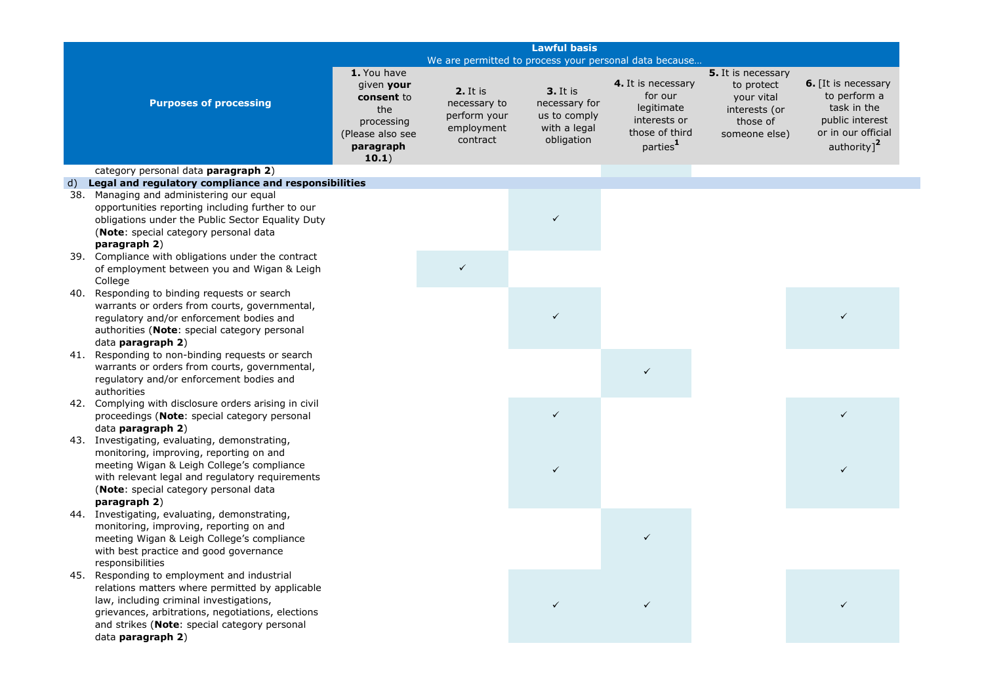|     | <b>Lawful basis</b>                                                                                                                                                                                                                                             |                                                                                                        |                                                                    |                                                                                |                                                                                                       |                                                                                              |                                                                                                                               |
|-----|-----------------------------------------------------------------------------------------------------------------------------------------------------------------------------------------------------------------------------------------------------------------|--------------------------------------------------------------------------------------------------------|--------------------------------------------------------------------|--------------------------------------------------------------------------------|-------------------------------------------------------------------------------------------------------|----------------------------------------------------------------------------------------------|-------------------------------------------------------------------------------------------------------------------------------|
|     |                                                                                                                                                                                                                                                                 | We are permitted to process your personal data because                                                 |                                                                    |                                                                                |                                                                                                       |                                                                                              |                                                                                                                               |
|     | <b>Purposes of processing</b>                                                                                                                                                                                                                                   | 1. You have<br>given your<br>consent to<br>the<br>processing<br>(Please also see<br>paragraph<br>10.1) | 2. It is<br>necessary to<br>perform your<br>employment<br>contract | <b>3.</b> It is<br>necessary for<br>us to comply<br>with a legal<br>obligation | 4. It is necessary<br>for our<br>legitimate<br>interests or<br>those of third<br>parties <sup>1</sup> | 5. It is necessary<br>to protect<br>your vital<br>interests (or<br>those of<br>someone else) | <b>6.</b> [It is necessary<br>to perform a<br>task in the<br>public interest<br>or in our official<br>authority] <sup>2</sup> |
|     | category personal data paragraph 2)                                                                                                                                                                                                                             |                                                                                                        |                                                                    |                                                                                |                                                                                                       |                                                                                              |                                                                                                                               |
| d)  | Legal and regulatory compliance and responsibilities                                                                                                                                                                                                            |                                                                                                        |                                                                    |                                                                                |                                                                                                       |                                                                                              |                                                                                                                               |
| 38. | Managing and administering our equal                                                                                                                                                                                                                            |                                                                                                        |                                                                    |                                                                                |                                                                                                       |                                                                                              |                                                                                                                               |
|     | opportunities reporting including further to our<br>obligations under the Public Sector Equality Duty<br>(Note: special category personal data<br>paragraph 2)                                                                                                  |                                                                                                        |                                                                    | $\checkmark$                                                                   |                                                                                                       |                                                                                              |                                                                                                                               |
|     | 39. Compliance with obligations under the contract<br>of employment between you and Wigan & Leigh<br>College                                                                                                                                                    |                                                                                                        | $\checkmark$                                                       |                                                                                |                                                                                                       |                                                                                              |                                                                                                                               |
| 40. | Responding to binding requests or search<br>warrants or orders from courts, governmental,<br>regulatory and/or enforcement bodies and<br>authorities (Note: special category personal<br>data paragraph 2)                                                      |                                                                                                        |                                                                    | $\checkmark$                                                                   |                                                                                                       |                                                                                              |                                                                                                                               |
| 41. | Responding to non-binding requests or search<br>warrants or orders from courts, governmental,<br>regulatory and/or enforcement bodies and<br>authorities                                                                                                        |                                                                                                        |                                                                    |                                                                                | $\checkmark$                                                                                          |                                                                                              |                                                                                                                               |
| 42. | Complying with disclosure orders arising in civil<br>proceedings (Note: special category personal<br>data paragraph 2)                                                                                                                                          |                                                                                                        |                                                                    | $\checkmark$                                                                   |                                                                                                       |                                                                                              | $\checkmark$                                                                                                                  |
| 43. | Investigating, evaluating, demonstrating,<br>monitoring, improving, reporting on and<br>meeting Wigan & Leigh College's compliance<br>with relevant legal and regulatory requirements<br>(Note: special category personal data<br>paragraph 2)                  |                                                                                                        |                                                                    | $\checkmark$                                                                   |                                                                                                       |                                                                                              |                                                                                                                               |
|     | 44. Investigating, evaluating, demonstrating,<br>monitoring, improving, reporting on and<br>meeting Wigan & Leigh College's compliance<br>with best practice and good governance<br>responsibilities                                                            |                                                                                                        |                                                                    |                                                                                | $\checkmark$                                                                                          |                                                                                              |                                                                                                                               |
| 45. | Responding to employment and industrial<br>relations matters where permitted by applicable<br>law, including criminal investigations,<br>grievances, arbitrations, negotiations, elections<br>and strikes (Note: special category personal<br>data paragraph 2) |                                                                                                        |                                                                    |                                                                                |                                                                                                       |                                                                                              |                                                                                                                               |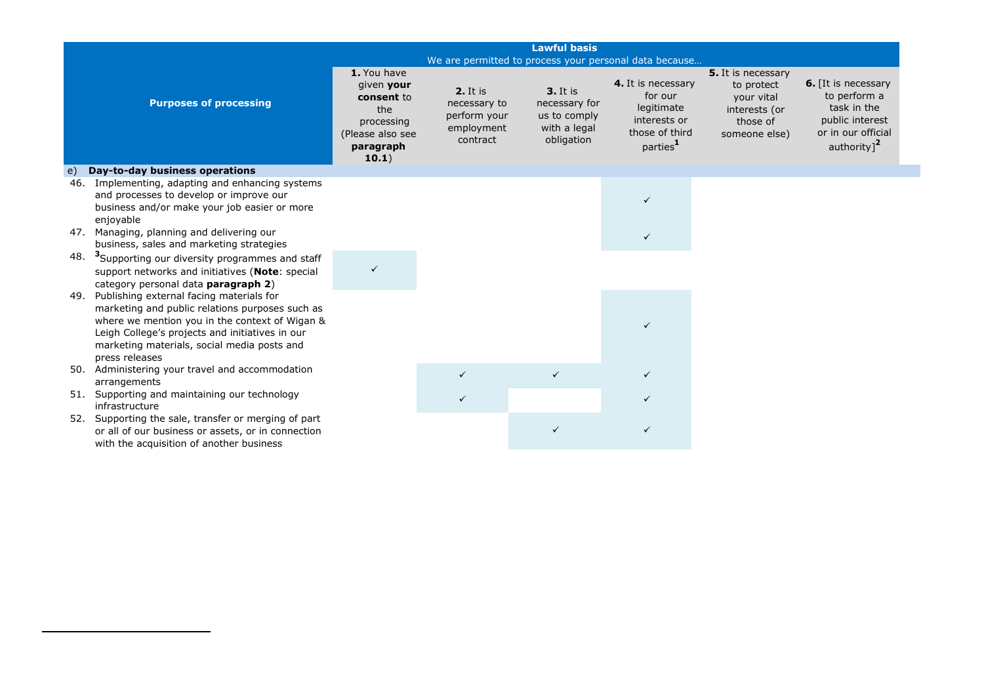|                                                                                                                                                                                                                                                                          |                                                                                                        |                                                                           | <b>Lawful basis</b>                                                            |                                                                                                       |                                                                                              |                                                                                                                        |
|--------------------------------------------------------------------------------------------------------------------------------------------------------------------------------------------------------------------------------------------------------------------------|--------------------------------------------------------------------------------------------------------|---------------------------------------------------------------------------|--------------------------------------------------------------------------------|-------------------------------------------------------------------------------------------------------|----------------------------------------------------------------------------------------------|------------------------------------------------------------------------------------------------------------------------|
|                                                                                                                                                                                                                                                                          |                                                                                                        | We are permitted to process your personal data because                    |                                                                                |                                                                                                       |                                                                                              |                                                                                                                        |
| <b>Purposes of processing</b>                                                                                                                                                                                                                                            | 1. You have<br>given your<br>consent to<br>the<br>processing<br>(Please also see<br>paragraph<br>10.1) | <b>2.</b> It is<br>necessary to<br>perform your<br>employment<br>contract | <b>3.</b> It is<br>necessary for<br>us to comply<br>with a legal<br>obligation | 4. It is necessary<br>for our<br>legitimate<br>interests or<br>those of third<br>parties <sup>1</sup> | 5. It is necessary<br>to protect<br>your vital<br>interests (or<br>those of<br>someone else) | 6. [It is necessary<br>to perform a<br>task in the<br>public interest<br>or in our official<br>authority] <sup>2</sup> |
| Day-to-day business operations<br>$\epsilon$                                                                                                                                                                                                                             |                                                                                                        |                                                                           |                                                                                |                                                                                                       |                                                                                              |                                                                                                                        |
| Implementing, adapting and enhancing systems<br>46.<br>and processes to develop or improve our<br>business and/or make your job easier or more<br>enjoyable                                                                                                              |                                                                                                        |                                                                           |                                                                                | $\checkmark$                                                                                          |                                                                                              |                                                                                                                        |
| 47. Managing, planning and delivering our<br>business, sales and marketing strategies                                                                                                                                                                                    |                                                                                                        |                                                                           |                                                                                |                                                                                                       |                                                                                              |                                                                                                                        |
| 48.<br><sup>3</sup> Supporting our diversity programmes and staff<br>support networks and initiatives (Note: special<br>category personal data paragraph 2)                                                                                                              |                                                                                                        |                                                                           |                                                                                |                                                                                                       |                                                                                              |                                                                                                                        |
| Publishing external facing materials for<br>49.<br>marketing and public relations purposes such as<br>where we mention you in the context of Wigan &<br>Leigh College's projects and initiatives in our<br>marketing materials, social media posts and<br>press releases |                                                                                                        |                                                                           |                                                                                | $\checkmark$                                                                                          |                                                                                              |                                                                                                                        |
| 50. Administering your travel and accommodation<br>arrangements                                                                                                                                                                                                          |                                                                                                        |                                                                           | $\checkmark$                                                                   | $\checkmark$                                                                                          |                                                                                              |                                                                                                                        |
| 51. Supporting and maintaining our technology<br>infrastructure                                                                                                                                                                                                          |                                                                                                        |                                                                           |                                                                                |                                                                                                       |                                                                                              |                                                                                                                        |
| Supporting the sale, transfer or merging of part<br>52.<br>or all of our business or assets, or in connection<br>with the acquisition of another business                                                                                                                |                                                                                                        |                                                                           |                                                                                |                                                                                                       |                                                                                              |                                                                                                                        |

**.**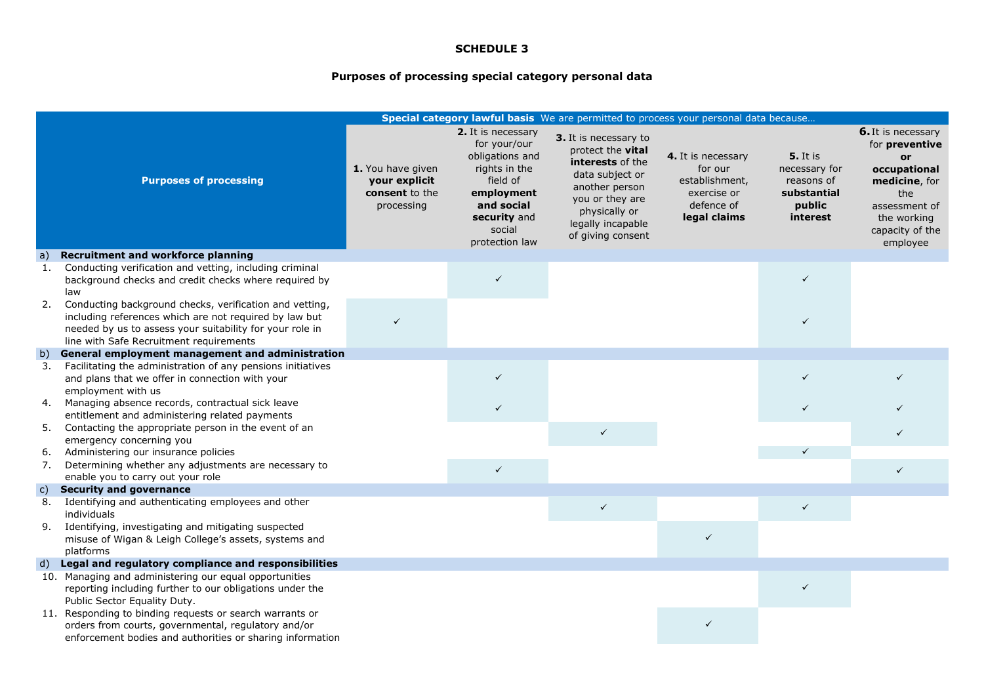# **Purposes of processing special category personal data**

|              |                                                                                                                                                                                                                          |                                                                    |                                                                                                                                                            | Special category lawful basis We are permitted to process your personal data because                                                                                              |                                                                                              |                                                                                     |                                                                                                                                                   |
|--------------|--------------------------------------------------------------------------------------------------------------------------------------------------------------------------------------------------------------------------|--------------------------------------------------------------------|------------------------------------------------------------------------------------------------------------------------------------------------------------|-----------------------------------------------------------------------------------------------------------------------------------------------------------------------------------|----------------------------------------------------------------------------------------------|-------------------------------------------------------------------------------------|---------------------------------------------------------------------------------------------------------------------------------------------------|
|              | <b>Purposes of processing</b>                                                                                                                                                                                            | 1. You have given<br>your explicit<br>consent to the<br>processing | 2. It is necessary<br>for your/our<br>obligations and<br>rights in the<br>field of<br>employment<br>and social<br>security and<br>social<br>protection law | 3. It is necessary to<br>protect the vital<br>interests of the<br>data subject or<br>another person<br>you or they are<br>physically or<br>legally incapable<br>of giving consent | 4. It is necessary<br>for our<br>establishment,<br>exercise or<br>defence of<br>legal claims | <b>5.</b> It is<br>necessary for<br>reasons of<br>substantial<br>public<br>interest | 6. It is necessary<br>for preventive<br>or<br>occupational<br>medicine, for<br>the<br>assessment of<br>the working<br>capacity of the<br>employee |
| $\mathsf{a}$ | <b>Recruitment and workforce planning</b>                                                                                                                                                                                |                                                                    |                                                                                                                                                            |                                                                                                                                                                                   |                                                                                              |                                                                                     |                                                                                                                                                   |
| -1.          | Conducting verification and vetting, including criminal<br>background checks and credit checks where required by<br>law                                                                                                  |                                                                    | $\checkmark$                                                                                                                                               |                                                                                                                                                                                   |                                                                                              | $\checkmark$                                                                        |                                                                                                                                                   |
| 2.           | Conducting background checks, verification and vetting,<br>including references which are not required by law but<br>needed by us to assess your suitability for your role in<br>line with Safe Recruitment requirements | $\checkmark$                                                       |                                                                                                                                                            |                                                                                                                                                                                   |                                                                                              | $\checkmark$                                                                        |                                                                                                                                                   |
| b)           | General employment management and administration                                                                                                                                                                         |                                                                    |                                                                                                                                                            |                                                                                                                                                                                   |                                                                                              |                                                                                     |                                                                                                                                                   |
| 3.           | Facilitating the administration of any pensions initiatives<br>and plans that we offer in connection with your<br>employment with us                                                                                     |                                                                    |                                                                                                                                                            |                                                                                                                                                                                   |                                                                                              |                                                                                     |                                                                                                                                                   |
| 4.           | Managing absence records, contractual sick leave<br>entitlement and administering related payments                                                                                                                       |                                                                    | $\checkmark$                                                                                                                                               |                                                                                                                                                                                   |                                                                                              | $\checkmark$                                                                        |                                                                                                                                                   |
| 5.           | Contacting the appropriate person in the event of an<br>emergency concerning you                                                                                                                                         |                                                                    |                                                                                                                                                            | $\checkmark$                                                                                                                                                                      |                                                                                              |                                                                                     | $\checkmark$                                                                                                                                      |
| 6.           | Administering our insurance policies                                                                                                                                                                                     |                                                                    |                                                                                                                                                            |                                                                                                                                                                                   |                                                                                              |                                                                                     |                                                                                                                                                   |
| 7.           | Determining whether any adjustments are necessary to<br>enable you to carry out your role                                                                                                                                |                                                                    | $\checkmark$                                                                                                                                               |                                                                                                                                                                                   |                                                                                              |                                                                                     | $\checkmark$                                                                                                                                      |
| $\mathsf{c}$ | <b>Security and governance</b>                                                                                                                                                                                           |                                                                    |                                                                                                                                                            |                                                                                                                                                                                   |                                                                                              |                                                                                     |                                                                                                                                                   |
| 8.           | Identifying and authenticating employees and other<br>individuals                                                                                                                                                        |                                                                    |                                                                                                                                                            | $\checkmark$                                                                                                                                                                      |                                                                                              | $\checkmark$                                                                        |                                                                                                                                                   |
| 9.           | Identifying, investigating and mitigating suspected<br>misuse of Wigan & Leigh College's assets, systems and                                                                                                             |                                                                    |                                                                                                                                                            |                                                                                                                                                                                   | $\checkmark$                                                                                 |                                                                                     |                                                                                                                                                   |
|              | platforms                                                                                                                                                                                                                |                                                                    |                                                                                                                                                            |                                                                                                                                                                                   |                                                                                              |                                                                                     |                                                                                                                                                   |
| d)           | Legal and regulatory compliance and responsibilities<br>10. Managing and administering our equal opportunities                                                                                                           |                                                                    |                                                                                                                                                            |                                                                                                                                                                                   |                                                                                              |                                                                                     |                                                                                                                                                   |
|              | reporting including further to our obligations under the<br>Public Sector Equality Duty.                                                                                                                                 |                                                                    |                                                                                                                                                            |                                                                                                                                                                                   |                                                                                              | ✓                                                                                   |                                                                                                                                                   |
|              | 11. Responding to binding requests or search warrants or                                                                                                                                                                 |                                                                    |                                                                                                                                                            |                                                                                                                                                                                   |                                                                                              |                                                                                     |                                                                                                                                                   |
|              | orders from courts, governmental, regulatory and/or                                                                                                                                                                      |                                                                    |                                                                                                                                                            |                                                                                                                                                                                   | $\checkmark$                                                                                 |                                                                                     |                                                                                                                                                   |
|              | enforcement bodies and authorities or sharing information                                                                                                                                                                |                                                                    |                                                                                                                                                            |                                                                                                                                                                                   |                                                                                              |                                                                                     |                                                                                                                                                   |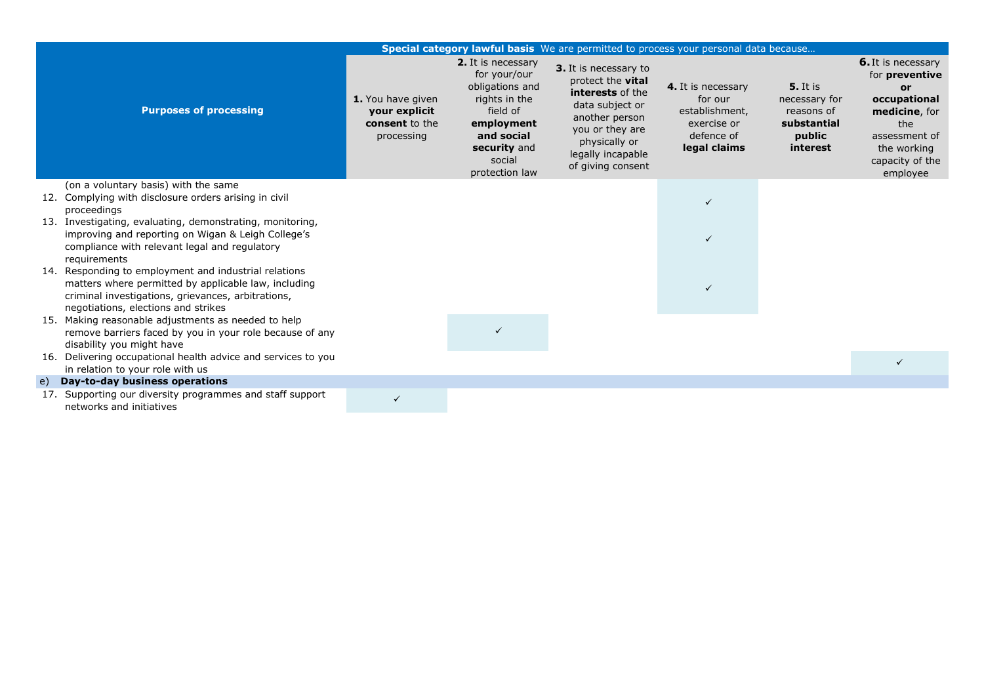|     |                                                                                                                                                                                                            |                                                                    |                                                                                                                                                            | Special category lawful basis We are permitted to process your personal data because                                                                                                     |                                                                                              |                                                                                     |                                                                                                                                                                 |
|-----|------------------------------------------------------------------------------------------------------------------------------------------------------------------------------------------------------------|--------------------------------------------------------------------|------------------------------------------------------------------------------------------------------------------------------------------------------------|------------------------------------------------------------------------------------------------------------------------------------------------------------------------------------------|----------------------------------------------------------------------------------------------|-------------------------------------------------------------------------------------|-----------------------------------------------------------------------------------------------------------------------------------------------------------------|
|     | <b>Purposes of processing</b>                                                                                                                                                                              | 1. You have given<br>your explicit<br>consent to the<br>processing | 2. It is necessary<br>for your/our<br>obligations and<br>rights in the<br>field of<br>employment<br>and social<br>security and<br>social<br>protection law | 3. It is necessary to<br>protect the <b>vital</b><br>interests of the<br>data subject or<br>another person<br>you or they are<br>physically or<br>legally incapable<br>of giving consent | 4. It is necessary<br>for our<br>establishment,<br>exercise or<br>defence of<br>legal claims | <b>5.</b> It is<br>necessary for<br>reasons of<br>substantial<br>public<br>interest | <b>6.</b> It is necessary<br>for preventive<br><b>or</b><br>occupational<br>medicine, for<br>the<br>assessment of<br>the working<br>capacity of the<br>employee |
|     | (on a voluntary basis) with the same<br>12. Complying with disclosure orders arising in civil<br>proceedings                                                                                               |                                                                    |                                                                                                                                                            |                                                                                                                                                                                          | ✓                                                                                            |                                                                                     |                                                                                                                                                                 |
|     | 13. Investigating, evaluating, demonstrating, monitoring,<br>improving and reporting on Wigan & Leigh College's<br>compliance with relevant legal and regulatory<br>requirements                           |                                                                    |                                                                                                                                                            |                                                                                                                                                                                          | ✓                                                                                            |                                                                                     |                                                                                                                                                                 |
|     | 14. Responding to employment and industrial relations<br>matters where permitted by applicable law, including<br>criminal investigations, grievances, arbitrations,<br>negotiations, elections and strikes |                                                                    |                                                                                                                                                            |                                                                                                                                                                                          | ✓                                                                                            |                                                                                     |                                                                                                                                                                 |
| 15. | Making reasonable adjustments as needed to help<br>remove barriers faced by you in your role because of any<br>disability you might have                                                                   |                                                                    |                                                                                                                                                            |                                                                                                                                                                                          |                                                                                              |                                                                                     |                                                                                                                                                                 |
|     | 16. Delivering occupational health advice and services to you<br>in relation to your role with us                                                                                                          |                                                                    |                                                                                                                                                            |                                                                                                                                                                                          |                                                                                              |                                                                                     | $\checkmark$                                                                                                                                                    |
| e)  | Day-to-day business operations                                                                                                                                                                             |                                                                    |                                                                                                                                                            |                                                                                                                                                                                          |                                                                                              |                                                                                     |                                                                                                                                                                 |
| 17. | Supporting our diversity programmes and staff support<br>networks and initiatives                                                                                                                          | $\checkmark$                                                       |                                                                                                                                                            |                                                                                                                                                                                          |                                                                                              |                                                                                     |                                                                                                                                                                 |